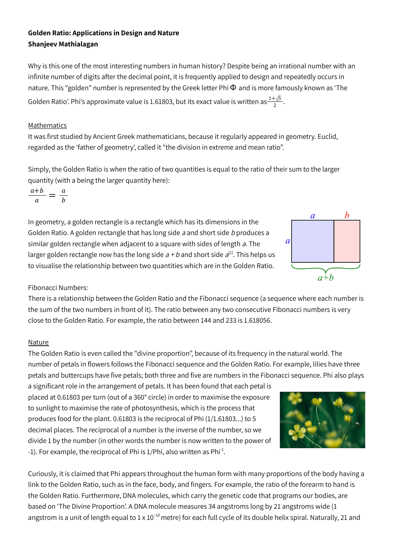# **Golden Ratio: Applications in Design and Nature Shanjeev Mathialagan**

Why is this one of the most interesting numbers in human history? Despite being an irrational number with an infinite number of digits after the decimal point, it is frequently applied to design and repeatedly occurs in nature. This "golden" number is represented by the Greek letter Phi  $\Phi$  and is more famously known as 'The Golden Ratio'. Phi's approximate value is 1.61803, but its exact value is written as $\frac{1+\sqrt{5}}{2}$ . 2

#### **Mathematics**

It was first studied by Ancient Greek mathematicians, because it regularly appeared in geometry. Euclid, regarded as the 'father of geometry', called it "the division in extreme and mean ratio".

Simply, the Golden Ratio is when the ratio of two quantities is equal to the ratio of their sum to the larger quantity (with a being the larger quantity here):

 $\frac{a+b}{a} = \frac{a}{b}$  $\bm{b}$ 

In geometry, a golden rectangle is a rectangle which has its dimensions in the Golden Ratio. A golden rectangle that has long side a and short side b produces a similar golden rectangle when adjacent to a square with sides of length a. The larger golden rectangle now has the long side  $a + b$  and short side  $a^{\text{[1]}}$ . This helps us to visualise the relationship between two quantities which are in the Golden Ratio.

## Fibonacci Numbers:

There is a relationship between the Golden Ratio and the Fibonacci sequence (a sequence where each number is the sum of the two numbers in front of it). The ratio between any two consecutive Fibonacci numbers is very close to the Golden Ratio. For example, the ratio between 144 and 233 is 1.618056.

#### **Nature**

The Golden Ratio is even called the "divine proportion", because of its frequency in the natural world. The number of petals in flowers follows the Fibonacci sequence and the Golden Ratio. For example, lilies have three petals and buttercups have five petals; both three and five are numbers in the Fibonacci sequence. Phi also plays

a significant role in the arrangement of petals. It has been found that each petal is placed at 0.61803 per turn (out of a 360° circle) in order to maximise the exposure to sunlight to maximise the rate of photosynthesis, which is the process that produces food for the plant. 0.61803 is the reciprocal of Phi (1/1.61803...) to 5 decimal places. The reciprocal of a number is the inverse of the number, so we divide 1 by the number (in other words the number is now written to the power of -1). For example, the reciprocal of Phi is  $1/P$ hi, also written as Phi $^{-1}$ .

Curiously, it is claimed that Phi appears throughout the human form with many proportions of the body having a link to the Golden Ratio, such as in the face, body, and fingers. For example, the ratio of the forearm to hand is the Golden Ratio. Furthermore, DNA molecules, which carry the genetic code that programs our bodies, are based on 'The Divine Proportion'. A DNA molecule measures 34 angstroms long by 21 angstroms wide (1 angstrom is a unit of length equal to 1 x 10 $^{-10}$  metre) for each full cycle of its double helix spiral. Naturally, 21 and



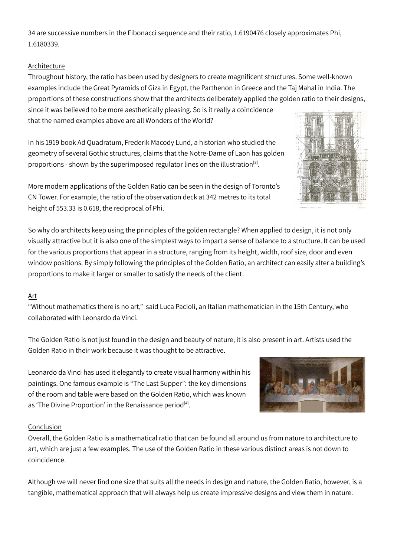34 are successive numbers in the Fibonacci sequence and their ratio, 1.6190476 closely approximates Phi, 1.6180339.

## Architecture

Throughout history, the ratio has been used by designers to create magnificent structures. Some well-known examples include the Great Pyramids of Giza in Egypt, the Parthenon in Greece and the Taj Mahal in India. The proportions of these constructions show that the architects deliberately applied the golden ratio to their designs, since it was believed to be more aesthetically pleasing. So is it really a coincidence that the named examples above are all Wonders of the World?

In his 1919 book Ad Quadratum, Frederik Macody Lund, a historian who studied the geometry of several Gothic structures, claims that the Notre-Dame of Laon has golden proportions - shown by the superimposed regulator lines on the illustration<sup>[3]</sup>.



More modern applications of the Golden Ratio can be seen in the design of Toronto's CN Tower. For example, the ratio of the observation deck at 342 metres to its total height of 553.33 is 0.618, the reciprocal of Phi.

So why do architects keep using the principles of the golden rectangle? When applied to design, it is not only visually attractive but it is also one of the simplest ways to impart a sense of balance to a structure. It can be used for the various proportions that appear in a structure, ranging from its height, width, roof size, door and even window positions. By simply following the principles of the Golden Ratio, an architect can easily alter a building's proportions to make it larger or smaller to satisfy the needs of the client.

## Art

"Without mathematics there is no art," said Luca Pacioli, an Italian mathematician in the 15th Century, who collaborated with Leonardo da Vinci.

The Golden Ratio is not just found in the design and beauty of nature; it is also present in art. Artists used the Golden Ratio in their work because it was thought to be attractive.

Leonardo da Vinci has used it elegantly to create visual harmony within his paintings. One famous example is "The Last Supper": the key dimensions of the room and table were based on the Golden Ratio, which was known as 'The Divine Proportion' in the Renaissance period<sup>[4]</sup>.



## Conclusion

Overall, the Golden Ratio is a mathematical ratio that can be found all around us from nature to architecture to art, which are just a few examples. The use of the Golden Ratio in these various distinct areas is not down to coincidence.

Although we will never find one size that suits all the needs in design and nature, the Golden Ratio, however, is a tangible, mathematical approach that will always help us create impressive designs and view them in nature.